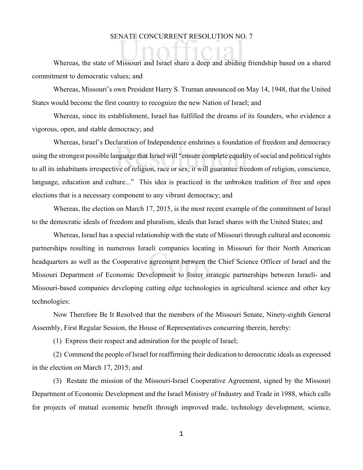## SENATE CONCURRENT RESOLUTION NO. 7

SENATE CONCORKENT RESOLUTION NO. /<br>Whereas, the state of Missouri and Israel share a deep and abiding friendship based on a shared commitment to democratic values; and

Whereas, Missouri's own President Harry S. Truman announced on May 14, 1948, that the United States would become the first country to recognize the new Nation of Israel; and

Whereas, since its establishment, Israel has fulfilled the dreams of its founders, who evidence a vigorous, open, and stable democracy; and

Internation of Independence ensimmes a foundation<br>Inguage that Israel will "ensure complete equality<br>ive of religion, race or sex; it will guarantee free Whereas, Israel's Declaration of Independence enshrines a foundation of freedom and democracy using the strongest possible language that Israel will "ensure complete equality of social and political rights to all its inhabitants irrespective of religion, race or sex; it will guarantee freedom of religion, conscience, language, education and culture..." This idea is practiced in the unbroken tradition of free and open elections that is a necessary component to any vibrant democracy; and

Whereas, the election on March 17, 2015, is the most recent example of the commitment of Israel to the democratic ideals of freedom and pluralism, ideals that Israel shares with the United States; and

er companies iocating<br>agreement between the<br>relopment to foster stra Whereas, Israel has a special relationship with the state of Missouri through cultural and economic partnerships resulting in numerous Israeli companies locating in Missouri for their North American headquarters as well as the Cooperative agreement between the Chief Science Officer of Israel and the Missouri Department of Economic Development to foster strategic partnerships between Israeli- and Missouri-based companies developing cutting edge technologies in agricultural science and other key technologies:

Now Therefore Be It Resolved that the members of the Missouri Senate, Ninety-eighth General Assembly, First Regular Session, the House of Representatives concurring therein, hereby:

(1) Express their respect and admiration for the people of Israel;

(2) Commend the people of Israel for reaffirming their dedication to democratic ideals as expressed in the election on March 17, 2015; and

(3) Restate the mission of the Missouri-Israel Cooperative Agreement, signed by the Missouri Department of Economic Development and the Israel Ministry of Industry and Trade in 1988, which calls for projects of mutual economic benefit through improved trade, technology development, science,